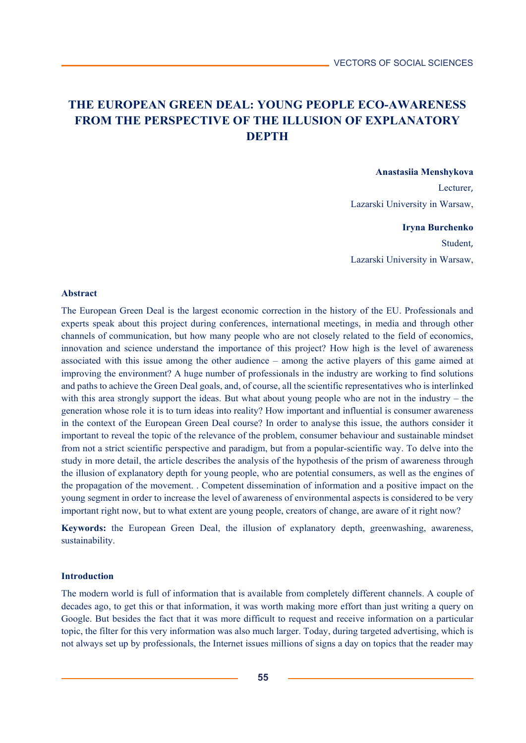# **THE EUROPEAN GREEN DEAL: YOUNG PEOPLE ECO-AWARENESS FROM THE PERSPECTIVE OF THE ILLUSION OF EXPLANATORY DEPTH**

## **Anastasiia Menshykova**

Lecturer, Lazarski University in Warsaw,

### **Iryna Burchenko**

Student, Lazarski University in Warsaw,

## **Abstract**

The European Green Deal is the largest economic correction in the history of the EU. Professionals and experts speak about this project during conferences, international meetings, in media and through other channels of communication, but how many people who are not closely related to the field of economics, innovation and science understand the importance of this project? How high is the level of awareness associated with this issue among the other audience – among the active players of this game aimed at improving the environment? A huge number of professionals in the industry are working to find solutions and paths to achieve the Green Deal goals, and, of course, all the scientific representatives who is interlinked with this area strongly support the ideas. But what about young people who are not in the industry – the generation whose role it is to turn ideas into reality? How important and influential is consumer awareness in the context of the European Green Deal course? In order to analyse this issue, the authors consider it important to reveal the topic of the relevance of the problem, consumer behaviour and sustainable mindset from not a strict scientific perspective and paradigm, but from a popular-scientific way. To delve into the study in more detail, the article describes the analysis of the hypothesis of the prism of awareness through the illusion of explanatory depth for young people, who are potential consumers, as well as the engines of the propagation of the movement. . Competent dissemination of information and a positive impact on the young segment in order to increase the level of awareness of environmental aspects is considered to be very important right now, but to what extent are young people, creators of change, are aware of it right now?

**Keywords:** the European Green Deal, the illusion of explanatory depth, greenwashing, awareness, sustainability.

## **Introduction**

The modern world is full of information that is available from completely different channels. A couple of decades ago, to get this or that information, it was worth making more effort than just writing a query on Google. But besides the fact that it was more difficult to request and receive information on a particular topic, the filter for this very information was also much larger. Today, during targeted advertising, which is not always set up by professionals, the Internet issues millions of signs a day on topics that the reader may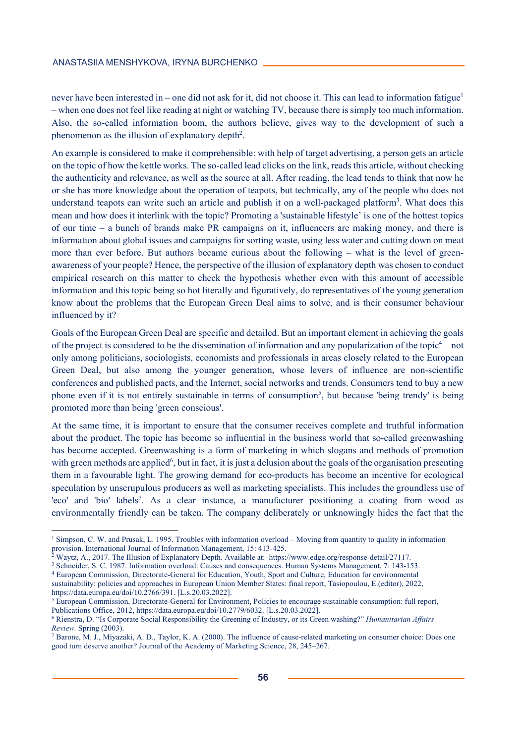never have been interested in – one did not ask for it, did not choose it. This can lead to information fatigue<sup>1</sup> – when one does not feel like reading at night or watching TV, because there is simply too much information. Also, the so-called information boom, the authors believe, gives way to the development of such a phenomenon as the illusion of explanatory depth<sup>2</sup>.

An example is considered to make it comprehensible: with help of target advertising, a person gets an article on the topic of how the kettle works. The so-called lead clicks on the link, reads this article, without checking the authenticity and relevance, as well as the source at all. After reading, the lead tends to think that now he or she has more knowledge about the operation of teapots, but technically, any of the people who does not understand teapots can write such an article and publish it on a well-packaged platform<sup>3</sup>. What does this mean and how does it interlink with the topic? Promoting a 'sustainable lifestyle' is one of the hottest topics of our time – a bunch of brands make PR campaigns on it, influencers are making money, and there is information about global issues and campaigns for sorting waste, using less water and cutting down on meat more than ever before. But authors became curious about the following – what is the level of greenawareness of your people? Hence, the perspective of the illusion of explanatory depth was chosen to conduct empirical research on this matter to check the hypothesis whether even with this amount of accessible information and this topic being so hot literally and figuratively, do representatives of the young generation know about the problems that the European Green Deal aims to solve, and is their consumer behaviour influenced by it?

Goals of the European Green Deal are specific and detailed. But an important element in achieving the goals of the project is considered to be the dissemination of information and any popularization of the topic<sup>4</sup> – not only among politicians, sociologists, economists and professionals in areas closely related to the European Green Deal, but also among the younger generation, whose levers of influence are non-scientific conferences and published pacts, and the Internet, social networks and trends. Consumers tend to buy a new phone even if it is not entirely sustainable in terms of consumption<sup>5</sup>, but because 'being trendy' is being promoted more than being 'green conscious'.

At the same time, it is important to ensure that the consumer receives complete and truthful information about the product. The topic has become so influential in the business world that so-called greenwashing has become accepted. Greenwashing is a form of marketing in which slogans and methods of promotion with green methods are applied<sup>6</sup>, but in fact, it is just a delusion about the goals of the organisation presenting them in a favourable light. The growing demand for eco-products has become an incentive for ecological speculation by unscrupulous producers as well as marketing specialists. This includes the groundless use of 'eco' and 'bio' labels<sup>7</sup>. As a clear instance, a manufacturer positioning a coating from wood as environmentally friendly can be taken. The company deliberately or unknowingly hides the fact that the

 $\overline{a}$ 

sustainability: policies and approaches in European Union Member States: final report, Tasiopoulou, E.(editor), 2022, https://data.europa.eu/doi/10.2766/391. [L.s.20.03.2022].

<sup>&</sup>lt;sup>1</sup> Simpson, C. W. and Prusak, L. 1995. Troubles with information overload – Moving from quantity to quality in information provision. International Journal of Information Management, 15: 413-425.<br><sup>2</sup> Waytz, A., 2017. The Illusion of Explanatory Depth. Available at: https://www.edge.org/response-detail/27117.

<sup>&</sup>lt;sup>3</sup> Schneider, S. C. 1987. Information overload: Causes and consequences. Human Systems Management, 7: 143-153.<br><sup>4</sup> European Commission, Directorate-General for Education, Youth, Sport and Culture, Education for environmen

<sup>5</sup> European Commission, Directorate-General for Environment, Policies to encourage sustainable consumption: full report, Publications Office, 2012, https://data.europa.eu/doi/10.2779/6032. [L.s.20.03.2022]. 6

Rienstra, D. "Is Corporate Social Responsibility the Greening of Industry, or its Green washing?" *Humanitarian Affairs Review.* Spring (2003).

Barone, M. J., Miyazaki, A. D., Taylor, K. A. (2000). The influence of cause-related marketing on consumer choice: Does one good turn deserve another? Journal of the Academy of Marketing Science, 28, 245–267.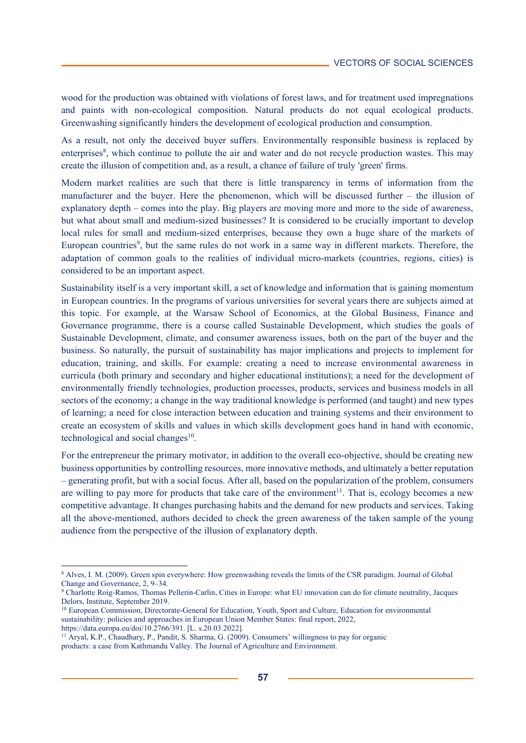wood for the production was obtained with violations of forest laws, and for treatment used impregnations and paints with non-ecological composition. Natural products do not equal ecological products. Greenwashing significantly hinders the development of ecological production and consumption.

As a result, not only the deceived buyer suffers. Environmentally responsible business is replaced by enterprises<sup>8</sup>, which continue to pollute the air and water and do not recycle production wastes. This may create the illusion of competition and, as a result, a chance of failure of truly 'green' firms.

Modern market realities are such that there is little transparency in terms of information from the manufacturer and the buyer. Here the phenomenon, which will be discussed further – the illusion of explanatory depth – comes into the play. Big players are moving more and more to the side of awareness, but what about small and medium-sized businesses? It is considered to be crucially important to develop local rules for small and medium-sized enterprises, because they own a huge share of the markets of European countries<sup>9</sup>, but the same rules do not work in a same way in different markets. Therefore, the adaptation of common goals to the realities of individual micro-markets (countries, regions, cities) is considered to be an important aspect.

Sustainability itself is a very important skill, a set of knowledge and information that is gaining momentum in European countries. In the programs of various universities for several years there are subjects aimed at this topic. For example, at the Warsaw School of Economics, at the Global Business, Finance and Governance programme, there is a course called Sustainable Development, which studies the goals of Sustainable Development, climate, and consumer awareness issues, both on the part of the buyer and the business. So naturally, the pursuit of sustainability has major implications and projects to implement for education, training, and skills. For example: creating a need to increase environmental awareness in curricula (both primary and secondary and higher educational institutions); a need for the development of environmentally friendly technologies, production processes, products, services and business models in all sectors of the economy; a change in the way traditional knowledge is performed (and taught) and new types of learning; a need for close interaction between education and training systems and their environment to create an ecosystem of skills and values in which skills development goes hand in hand with economic, technological and social changes $10$ .

For the entrepreneur the primary motivator, in addition to the overall eco-objective, should be creating new business opportunities by controlling resources, more innovative methods, and ultimately a better reputation – generating profit, but with a social focus. After all, based on the popularization of the problem, consumers are willing to pay more for products that take care of the environment<sup>11</sup>. That is, ecology becomes a new competitive advantage. It changes purchasing habits and the demand for new products and services. Taking all the above-mentioned, authors decided to check the green awareness of the taken sample of the young audience from the perspective of the illusion of explanatory depth.

<u>.</u>

<sup>8</sup> Alves, I. M. (2009). Green spin everywhere: How greenwashing reveals the limits of the CSR paradigm. Journal of Global Change and Governance, 2, 9–34.

<sup>9</sup> Charlotte Roig-Ramos, Thomas Pellerin-Carlin, Cities in Europe: what EU innovation can do for climate neutrality, Jacques Delors, Institute, September 2019.

<sup>&</sup>lt;sup>10</sup> European Commission, Directorate-General for Education, Youth, Sport and Culture, Education for environmental sustainability: policies and approaches in European Union Member States: final report, 2022, https://data.europa.eu/doi/10.2766/391. [L. s.20.03.2022].

<sup>11</sup> Aryal, K.P., Chaudhary, P., Pandit, S. Sharma, G. (2009). Consumers' willingness to pay for organic products: a case from Kathmandu Valley. The Journal of Agriculture and Environment.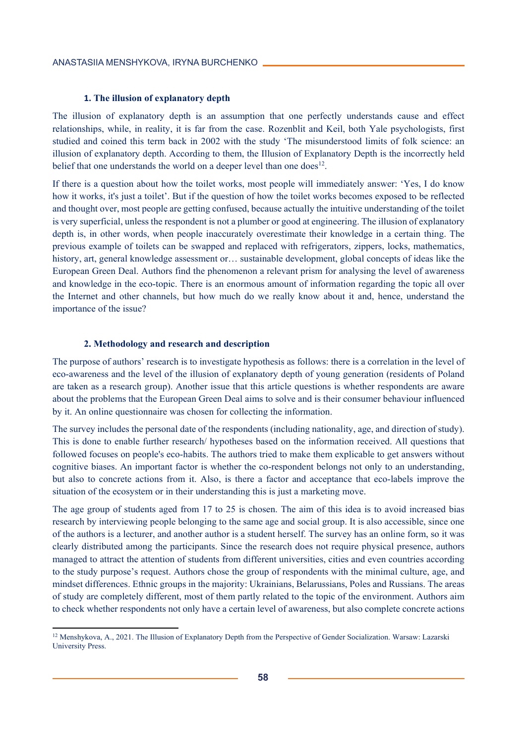### **1. The illusion of explanatory depth**

The illusion of explanatory depth is an assumption that one perfectly understands cause and effect relationships, while, in reality, it is far from the case. Rozenblit and Keil, both Yale psychologists, first studied and coined this term back in 2002 with the study 'The misunderstood limits of folk science: an illusion of explanatory depth. According to them, the Illusion of Explanatory Depth is the incorrectly held belief that one understands the world on a deeper level than one does<sup>12</sup>.

If there is a question about how the toilet works, most people will immediately answer: 'Yes, I do know how it works, it's just a toilet'. But if the question of how the toilet works becomes exposed to be reflected and thought over, most people are getting confused, because actually the intuitive understanding of the toilet is very superficial, unless the respondent is not a plumber or good at engineering. The illusion of explanatory depth is, in other words, when people inaccurately overestimate their knowledge in a certain thing. The previous example of toilets can be swapped and replaced with refrigerators, zippers, locks, mathematics, history, art, general knowledge assessment or… sustainable development, global concepts of ideas like the European Green Deal. Authors find the phenomenon a relevant prism for analysing the level of awareness and knowledge in the eco-topic. There is an enormous amount of information regarding the topic all over the Internet and other channels, but how much do we really know about it and, hence, understand the importance of the issue?

## **2. Methodology and research and description**

 $\overline{\phantom{a}}$ 

The purpose of authors' research is to investigate hypothesis as follows: there is a correlation in the level of eco-awareness and the level of the illusion of explanatory depth of young generation (residents of Poland are taken as a research group). Another issue that this article questions is whether respondents are aware about the problems that the European Green Deal aims to solve and is their consumer behaviour influenced by it. An online questionnaire was chosen for collecting the information.

The survey includes the personal date of the respondents (including nationality, age, and direction of study). This is done to enable further research/ hypotheses based on the information received. All questions that followed focuses on people's eco-habits. The authors tried to make them explicable to get answers without cognitive biases. An important factor is whether the co-respondent belongs not only to an understanding, but also to concrete actions from it. Also, is there a factor and acceptance that eco-labels improve the situation of the ecosystem or in their understanding this is just a marketing move.

The age group of students aged from 17 to 25 is chosen. The aim of this idea is to avoid increased bias research by interviewing people belonging to the same age and social group. It is also accessible, since one of the authors is a lecturer, and another author is a student herself. The survey has an online form, so it was clearly distributed among the participants. Since the research does not require physical presence, authors managed to attract the attention of students from different universities, cities and even countries according to the study purpose's request. Authors chose the group of respondents with the minimal culture, age, and mindset differences. Ethnic groups in the majority: Ukrainians, Belarussians, Poles and Russians. The areas of study are completely different, most of them partly related to the topic of the environment. Authors aim to check whether respondents not only have a certain level of awareness, but also complete concrete actions

<sup>&</sup>lt;sup>12</sup> Menshykova, A., 2021. The Illusion of Explanatory Depth from the Perspective of Gender Socialization. Warsaw: Lazarski University Press.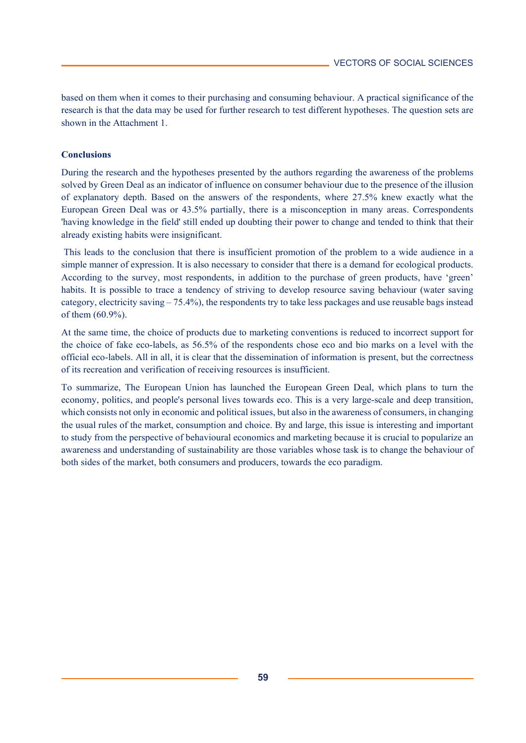based on them when it comes to their purchasing and consuming behaviour. A practical significance of the research is that the data may be used for further research to test different hypotheses. The question sets are shown in the Attachment 1.

# **Conclusions**

During the research and the hypotheses presented by the authors regarding the awareness of the problems solved by Green Deal as an indicator of influence on consumer behaviour due to the presence of the illusion of explanatory depth. Based on the answers of the respondents, where 27.5% knew exactly what the European Green Deal was or 43.5% partially, there is a misconception in many areas. Correspondents 'having knowledge in the field' still ended up doubting their power to change and tended to think that their already existing habits were insignificant.

 This leads to the conclusion that there is insufficient promotion of the problem to a wide audience in a simple manner of expression. It is also necessary to consider that there is a demand for ecological products. According to the survey, most respondents, in addition to the purchase of green products, have 'green' habits. It is possible to trace a tendency of striving to develop resource saving behaviour (water saving category, electricity saving – 75.4%), the respondents try to take less packages and use reusable bags instead of them (60.9%).

At the same time, the choice of products due to marketing conventions is reduced to incorrect support for the choice of fake eco-labels, as 56.5% of the respondents chose eco and bio marks on a level with the official eco-labels. All in all, it is clear that the dissemination of information is present, but the correctness of its recreation and verification of receiving resources is insufficient.

To summarize, The European Union has launched the European Green Deal, which plans to turn the economy, politics, and people's personal lives towards eco. This is a very large-scale and deep transition, which consists not only in economic and political issues, but also in the awareness of consumers, in changing the usual rules of the market, consumption and choice. By and large, this issue is interesting and important to study from the perspective of behavioural economics and marketing because it is crucial to popularize an awareness and understanding of sustainability are those variables whose task is to change the behaviour of both sides of the market, both consumers and producers, towards the eco paradigm.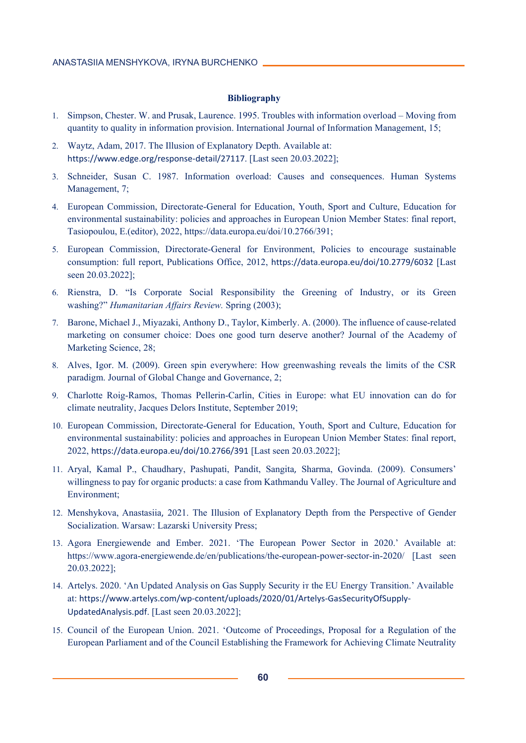#### **Bibliography**

- 1. Simpson, Chester. W. and Prusak, Laurence. 1995. Troubles with information overload Moving from quantity to quality in information provision. International Journal of Information Management, 15;
- 2. Waytz, Adam, 2017. The Illusion of Explanatory Depth. Available at: https://www.edge.org/response-detail/27117. [Last seen 20.03.2022];
- 3. Schneider, Susan C. 1987. Information overload: Causes and consequences. Human Systems Management, 7;
- 4. European Commission, Directorate-General for Education, Youth, Sport and Culture, Education for environmental sustainability: policies and approaches in European Union Member States: final report, Tasiopoulou, E.(editor), 2022, https://data.europa.eu/doi/10.2766/391;
- 5. European Commission, Directorate-General for Environment, Policies to encourage sustainable consumption: full report, Publications Office, 2012, https://data.europa.eu/doi/10.2779/6032 [Last seen 20.03.2022];
- 6. Rienstra, D. "Is Corporate Social Responsibility the Greening of Industry, or its Green washing?" *Humanitarian Affairs Review.* Spring (2003);
- 7. Barone, Michael J., Miyazaki, Anthony D., Taylor, Kimberly. A. (2000). The influence of cause-related marketing on consumer choice: Does one good turn deserve another? Journal of the Academy of Marketing Science, 28;
- 8. Alves, Igor. M. (2009). Green spin everywhere: How greenwashing reveals the limits of the CSR paradigm. Journal of Global Change and Governance, 2;
- 9. Charlotte Roig-Ramos, Thomas Pellerin-Carlin, Cities in Europe: what EU innovation can do for climate neutrality, Jacques Delors Institute, September 2019;
- 10. European Commission, Directorate-General for Education, Youth, Sport and Culture, Education for environmental sustainability: policies and approaches in European Union Member States: final report, 2022, https://data.europa.eu/doi/10.2766/391 [Last seen 20.03.2022];
- 11. Aryal, Kamal P., Chaudhary, Pashupati, Pandit, Sangita, Sharma, Govinda. (2009). Consumers' willingness to pay for organic products: a case from Kathmandu Valley. The Journal of Agriculture and Environment;
- 12. Menshykova, Anastasiia, 2021. The Illusion of Explanatory Depth from the Perspective of Gender Socialization. Warsaw: Lazarski University Press;
- 13. Agora Energiewende and Ember. 2021. 'The European Power Sector in 2020.' Available at: https://www.agora-energiewende.de/en/publications/the-european-power-sector-in-2020/ [Last seen 20.03.2022];
- 14. Artelys. 2020. 'An Updated Analysis on Gas Supply Security iт the EU Energy Transition.' Available at: https://www.artelys.com/wp-content/uploads/2020/01/Artelys-GasSecurityOfSupply-UpdatedAnalysis.pdf. [Last seen 20.03.2022];
- 15. Council of the European Union. 2021. 'Outcome of Proceedings, Proposal for a Regulation of the European Parliament and of the Council Establishing the Framework for Achieving Climate Neutrality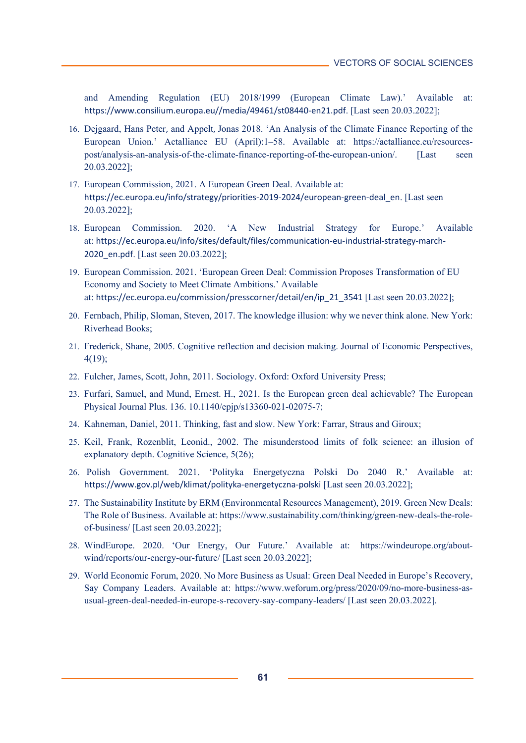and Amending Regulation (EU) 2018/1999 (European Climate Law).' Available at: https://www.consilium.europa.eu//media/49461/st08440-en21.pdf. [Last seen 20.03.2022];

- 16. Dejgaard, Hans Peter, and Appelt, Jonas 2018. 'An Analysis of the Climate Finance Reporting of the European Union.' Actalliance EU (April):1–58. Available at: https://actalliance.eu/resourcespost/analysis-an-analysis-of-the-climate-finance-reporting-of-the-european-union/. [Last seen 20.03.2022];
- 17. European Commission, 2021. A European Green Deal. Available at: https://ec.europa.eu/info/strategy/priorities-2019-2024/european-green-deal\_en. [Last seen 20.03.2022];
- 18. European Commission. 2020. 'A New Industrial Strategy for Europe.' Available at: https://ec.europa.eu/info/sites/default/files/communication-eu-industrial-strategy-march-2020\_en.pdf. [Last seen 20.03.2022];
- 19. European Commission. 2021. 'European Green Deal: Commission Proposes Transformation of EU Economy and Society to Meet Climate Ambitions.' Available at: https://ec.europa.eu/commission/presscorner/detail/en/ip\_21\_3541 [Last seen 20.03.2022];
- 20. Fernbach, Philip, Sloman, Steven, 2017. The knowledge illusion: why we never think alone. New York: Riverhead Books;
- 21. Frederick, Shane, 2005. Cognitive reflection and decision making. Journal of Economic Perspectives, 4(19);
- 22. Fulcher, James, Scott, John, 2011. Sociology. Oxford: Oxford University Press;
- 23. Furfari, Samuel, and Mund, Ernest. H., 2021. Is the European green deal achievable? The European Physical Journal Plus. 136. 10.1140/epjp/s13360-021-02075-7;
- 24. Kahneman, Daniel, 2011. Thinking, fast and slow. New York: Farrar, Straus and Giroux;
- 25. Keil, Frank, Rozenblit, Leonid., 2002. The misunderstood limits of folk science: an illusion of explanatory depth. Cognitive Science, 5(26);
- 26. Polish Government. 2021. 'Polityka Energetyczna Polski Do 2040 R.' Available at: https://www.gov.pl/web/klimat/polityka-energetyczna-polski [Last seen 20.03.2022];
- 27. The Sustainability Institute by ERM (Environmental Resources Management), 2019. Green New Deals: The Role of Business. Available at: https://www.sustainability.com/thinking/green-new-deals-the-roleof-business/ [Last seen 20.03.2022];
- 28. WindEurope. 2020. 'Our Energy, Our Future.' Available at: https://windeurope.org/aboutwind/reports/our-energy-our-future/ [Last seen 20.03.2022];
- 29. World Economic Forum, 2020. No More Business as Usual: Green Deal Needed in Europe's Recovery, Say Company Leaders. Available at: https://www.weforum.org/press/2020/09/no-more-business-asusual-green-deal-needed-in-europe-s-recovery-say-company-leaders/ [Last seen 20.03.2022].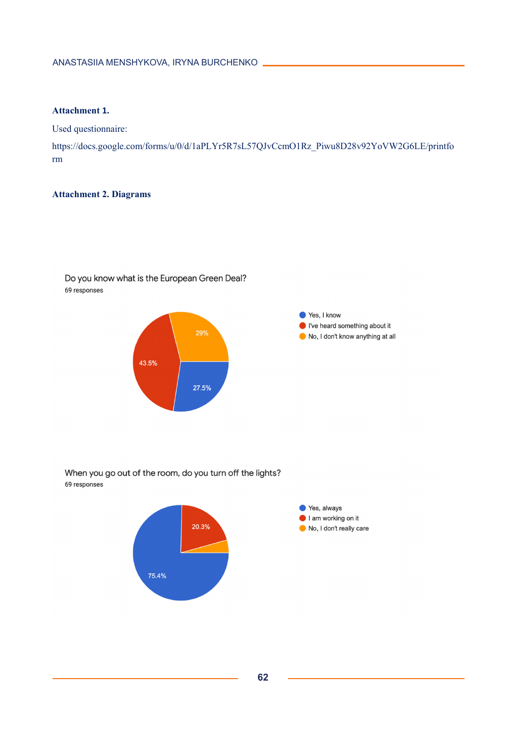# **Attachment 1.**

Used questionnaire:

https://docs.google.com/forms/u/0/d/1aPLYr5R7sL57QJvCcmO1Rz\_Piwu8D28v92YoVW2G6LE/printfo rm

# **Attachment 2. Diagrams**



Do you know what is the European Green Deal? 69 responses

When you go out of the room, do you turn off the lights? 69 responses